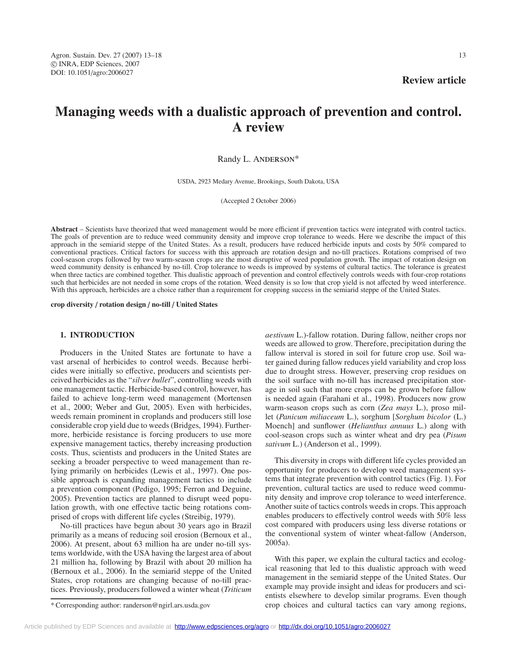**Review article**

# **Managing weeds with a dualistic approach of prevention and control. A review**

Randy L. ANDERSON\*

USDA, 2923 Medary Avenue, Brookings, South Dakota, USA

(Accepted 2 October 2006)

**Abstract** – Scientists have theorized that weed management would be more efficient if prevention tactics were integrated with control tactics. The goals of prevention are to reduce weed community density and improve crop tolerance to weeds. Here we describe the impact of this approach in the semiarid steppe of the United States. As a result, producers have reduced herbicide inputs and costs by  $50\%$  compared to conventional practices. Critical factors for success with this approach are rotation design and no-till practices. Rotations comprised of two cool-season crops followed by two warm-season crops are the most disruptive of weed population growth. The impact of rotation design on weed community density is enhanced by no-till. Crop tolerance to weeds is improved by systems of cultural tactics. The tolerance is greatest when three tactics are combined together. This dualistic approach of prevention and control effectively controls weeds with four-crop rotations such that herbicides are not needed in some crops of the rotation. Weed density is so low that crop yield is not affected by weed interference. With this approach, herbicides are a choice rather than a requirement for cropping success in the semiarid steppe of the United States.

**crop diversity** / **rotation design** / **no-till** / **United States**

## **1. INTRODUCTION**

Producers in the United States are fortunate to have a vast arsenal of herbicides to control weeds. Because herbicides were initially so effective, producers and scientists perceived herbicides as the "*silver bullet*", controlling weeds with one management tactic. Herbicide-based control, however, has failed to achieve long-term weed management (Mortensen et al., 2000; Weber and Gut, 2005). Even with herbicides, weeds remain prominent in croplands and producers still lose considerable crop yield due to weeds (Bridges, 1994). Furthermore, herbicide resistance is forcing producers to use more expensive management tactics, thereby increasing production costs. Thus, scientists and producers in the United States are seeking a broader perspective to weed management than relying primarily on herbicides (Lewis et al., 1997). One possible approach is expanding management tactics to include a prevention component (Pedigo, 1995; Ferron and Deguine, 2005). Prevention tactics are planned to disrupt weed population growth, with one effective tactic being rotations comprised of crops with different life cycles (Streibig, 1979).

No-till practices have begun about 30 years ago in Brazil primarily as a means of reducing soil erosion (Bernoux et al., 2006). At present, about 63 million ha are under no-till systems worldwide, with the USA having the largest area of about 21 million ha, following by Brazil with about 20 million ha (Bernoux et al., 2006). In the semiarid steppe of the United States, crop rotations are changing because of no-till practices. Previously, producers followed a winter wheat (*Triticum*

*aestivum* L.)-fallow rotation. During fallow, neither crops nor weeds are allowed to grow. Therefore, precipitation during the fallow interval is stored in soil for future crop use. Soil water gained during fallow reduces yield variability and crop loss due to drought stress. However, preserving crop residues on the soil surface with no-till has increased precipitation storage in soil such that more crops can be grown before fallow is needed again (Farahani et al., 1998). Producers now grow warm-season crops such as corn (*Zea mays* L.), proso millet (*Panicum miliaceum* L.), sorghum [*Sorghum bicolor* (L.) Moench] and sunflower (*Helianthus annuus* L.) along with cool-season crops such as winter wheat and dry pea (*Pisum sativum* L.) (Anderson et al., 1999).

This diversity in crops with different life cycles provided an opportunity for producers to develop weed management systems that integrate prevention with control tactics (Fig. 1). For prevention, cultural tactics are used to reduce weed community density and improve crop tolerance to weed interference. Another suite of tactics controls weeds in crops. This approach enables producers to effectively control weeds with 50% less cost compared with producers using less diverse rotations or the conventional system of winter wheat-fallow (Anderson, 2005a).

With this paper, we explain the cultural tactics and ecological reasoning that led to this dualistic approach with weed management in the semiarid steppe of the United States. Our example may provide insight and ideas for producers and scientists elsewhere to develop similar programs. Even though crop choices and cultural tactics can vary among regions,

<sup>\*</sup> Corresponding author: randerson@ngirl.ars.usda.gov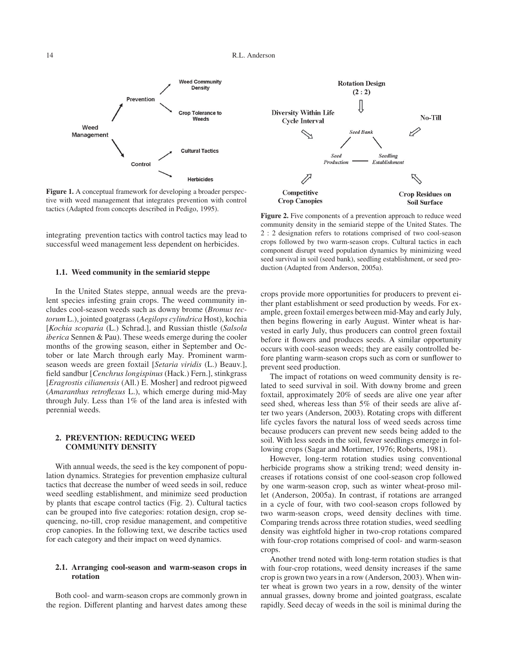Weed Community

Density

Crop Tolerance to

Weeds

**Cultural Tactics** 

**Herbicides** 

**Figure 1.** A conceptual framework for developing a broader perspective with weed management that integrates prevention with control tactics (Adapted from concepts described in Pedigo, 1995).

Control

Prevention

integrating prevention tactics with control tactics may lead to successful weed management less dependent on herbicides.

#### **1.1. Weed community in the semiarid steppe**

In the United States steppe, annual weeds are the prevalent species infesting grain crops. The weed community includes cool-season weeds such as downy brome (*Bromus tectorum* L.), jointed goatgrass (*Aegilops cylindrica* Host), kochia [*Kochia scoparia* (L.) Schrad.], and Russian thistle (*Salsola iberica* Sennen & Pau). These weeds emerge during the cooler months of the growing season, either in September and October or late March through early May. Prominent warmseason weeds are green foxtail [*Setaria viridis* (L.) Beauv.], field sandbur [*Cenchrus longispinus* (Hack.) Fern.], stinkgrass [*Eragrostis cilianensis* (All.) E. Mosher] and redroot pigweed (*Amaranthus retroflexus* L.), which emerge during mid-May through July. Less than 1% of the land area is infested with perennial weeds.

## **2. PREVENTION: REDUCING WEED COMMUNITY DENSITY**

With annual weeds, the seed is the key component of population dynamics. Strategies for prevention emphasize cultural tactics that decrease the number of weed seeds in soil, reduce weed seedling establishment, and minimize seed production by plants that escape control tactics (Fig. 2). Cultural tactics can be grouped into five categories: rotation design, crop sequencing, no-till, crop residue management, and competitive crop canopies. In the following text, we describe tactics used for each category and their impact on weed dynamics.

## **2.1. Arranging cool-season and warm-season crops in rotation**

Both cool- and warm-season crops are commonly grown in the region. Different planting and harvest dates among these



**Rotation Design** 

 $(2:2)$ 

**Seed Bank** 

No-Till

duction (Adapted from Anderson, 2005a).

**Diversity Within Life** 

**Cycle Interval** 

crops provide more opportunities for producers to prevent either plant establishment or seed production by weeds. For example, green foxtail emerges between mid-May and early July, then begins flowering in early August. Winter wheat is harvested in early July, thus producers can control green foxtail before it flowers and produces seeds. A similar opportunity occurs with cool-season weeds; they are easily controlled before planting warm-season crops such as corn or sunflower to prevent seed production.

The impact of rotations on weed community density is related to seed survival in soil. With downy brome and green foxtail, approximately 20% of seeds are alive one year after seed shed, whereas less than 5% of their seeds are alive after two years (Anderson, 2003). Rotating crops with different life cycles favors the natural loss of weed seeds across time because producers can prevent new seeds being added to the soil. With less seeds in the soil, fewer seedlings emerge in following crops (Sagar and Mortimer, 1976; Roberts, 1981).

However, long-term rotation studies using conventional herbicide programs show a striking trend; weed density increases if rotations consist of one cool-season crop followed by one warm-season crop, such as winter wheat-proso millet (Anderson, 2005a). In contrast, if rotations are arranged in a cycle of four, with two cool-season crops followed by two warm-season crops, weed density declines with time. Comparing trends across three rotation studies, weed seedling density was eightfold higher in two-crop rotations compared with four-crop rotations comprised of cool- and warm-season crops.

Another trend noted with long-term rotation studies is that with four-crop rotations, weed density increases if the same crop is grown two years in a row (Anderson, 2003). When winter wheat is grown two years in a row, density of the winter annual grasses, downy brome and jointed goatgrass, escalate rapidly. Seed decay of weeds in the soil is minimal during the

Weed

Management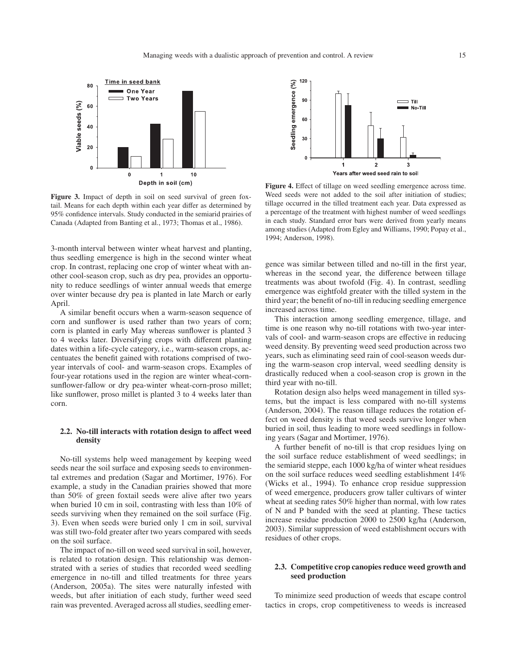

**Figure 3.** Impact of depth in soil on seed survival of green foxtail. Means for each depth within each year differ as determined by 95% confidence intervals. Study conducted in the semiarid prairies of Canada (Adapted from Banting et al., 1973; Thomas et al., 1986).

3-month interval between winter wheat harvest and planting, thus seedling emergence is high in the second winter wheat crop. In contrast, replacing one crop of winter wheat with another cool-season crop, such as dry pea, provides an opportunity to reduce seedlings of winter annual weeds that emerge over winter because dry pea is planted in late March or early April.

A similar benefit occurs when a warm-season sequence of corn and sunflower is used rather than two years of corn; corn is planted in early May whereas sunflower is planted 3 to 4 weeks later. Diversifying crops with different planting dates within a life-cycle category, i.e., warm-season crops, accentuates the benefit gained with rotations comprised of twoyear intervals of cool- and warm-season crops. Examples of four-year rotations used in the region are winter wheat-cornsunflower-fallow or dry pea-winter wheat-corn-proso millet; like sunflower, proso millet is planted 3 to 4 weeks later than corn.

## **2.2.** No-till interacts with rotation design to affect weed **density**

No-till systems help weed management by keeping weed seeds near the soil surface and exposing seeds to environmental extremes and predation (Sagar and Mortimer, 1976). For example, a study in the Canadian prairies showed that more than 50% of green foxtail seeds were alive after two years when buried 10 cm in soil, contrasting with less than 10% of seeds surviving when they remained on the soil surface (Fig. 3). Even when seeds were buried only 1 cm in soil, survival was still two-fold greater after two years compared with seeds on the soil surface.

The impact of no-till on weed seed survival in soil, however, is related to rotation design. This relationship was demonstrated with a series of studies that recorded weed seedling emergence in no-till and tilled treatments for three years (Anderson, 2005a). The sites were naturally infested with weeds, but after initiation of each study, further weed seed rain was prevented. Averaged across all studies, seedling emer-



**Figure 4.** Effect of tillage on weed seedling emergence across time. Weed seeds were not added to the soil after initiation of studies; tillage occurred in the tilled treatment each year. Data expressed as a percentage of the treatment with highest number of weed seedlings in each study. Standard error bars were derived from yearly means among studies (Adapted from Egley and Williams, 1990; Popay et al., 1994; Anderson, 1998).

gence was similar between tilled and no-till in the first year, whereas in the second year, the difference between tillage treatments was about twofold (Fig. 4). In contrast, seedling emergence was eightfold greater with the tilled system in the third year; the benefit of no-till in reducing seedling emergence increased across time.

This interaction among seedling emergence, tillage, and time is one reason why no-till rotations with two-year intervals of cool- and warm-season crops are effective in reducing weed density. By preventing weed seed production across two years, such as eliminating seed rain of cool-season weeds during the warm-season crop interval, weed seedling density is drastically reduced when a cool-season crop is grown in the third year with no-till.

Rotation design also helps weed management in tilled systems, but the impact is less compared with no-till systems (Anderson, 2004). The reason tillage reduces the rotation effect on weed density is that weed seeds survive longer when buried in soil, thus leading to more weed seedlings in following years (Sagar and Mortimer, 1976).

A further benefit of no-till is that crop residues lying on the soil surface reduce establishment of weed seedlings; in the semiarid steppe, each 1000 kg/ha of winter wheat residues on the soil surface reduces weed seedling establishment 14% (Wicks et al., 1994). To enhance crop residue suppression of weed emergence, producers grow taller cultivars of winter wheat at seeding rates 50% higher than normal, with low rates of N and P banded with the seed at planting. These tactics increase residue production 2000 to 2500 kg/ha (Anderson, 2003). Similar suppression of weed establishment occurs with residues of other crops.

## **2.3. Competitive crop canopies reduce weed growth and seed production**

To minimize seed production of weeds that escape control tactics in crops, crop competitiveness to weeds is increased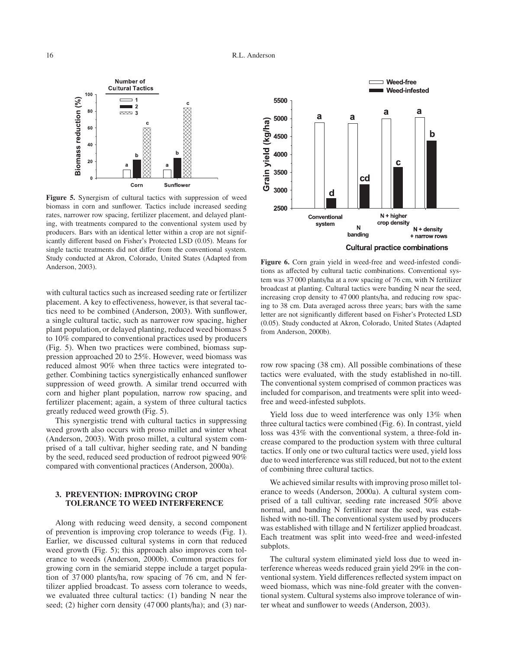5500

5000

4500

4000

3500

3000

2500

Grain yield (kg/ha)

a

d

Conventional

system

a

cd

 $\overline{\mathsf{N}}$ 

banding

**Figure 5.** Synergism of cultural tactics with suppression of weed biomass in corn and sunflower. Tactics include increased seeding rates, narrower row spacing, fertilizer placement, and delayed planting, with treatments compared to the conventional system used by producers. Bars with an identical letter within a crop are not significantly different based on Fisher's Protected LSD (0.05). Means for single tactic treatments did not differ from the conventional system. Study conducted at Akron, Colorado, United States (Adapted from Anderson, 2003).

with cultural tactics such as increased seeding rate or fertilizer placement. A key to effectiveness, however, is that several tactics need to be combined (Anderson, 2003). With sunflower, a single cultural tactic, such as narrower row spacing, higher plant population, or delayed planting, reduced weed biomass 5 to 10% compared to conventional practices used by producers (Fig. 5). When two practices were combined, biomass suppression approached 20 to 25%. However, weed biomass was reduced almost 90% when three tactics were integrated together. Combining tactics synergistically enhanced sunflower suppression of weed growth. A similar trend occurred with corn and higher plant population, narrow row spacing, and fertilizer placement; again, a system of three cultural tactics greatly reduced weed growth (Fig. 5).

This synergistic trend with cultural tactics in suppressing weed growth also occurs with proso millet and winter wheat (Anderson, 2003). With proso millet, a cultural system comprised of a tall cultivar, higher seeding rate, and N banding by the seed, reduced seed production of redroot pigweed 90% compared with conventional practices (Anderson, 2000a).

## **3. PREVENTION: IMPROVING CROP TOLERANCE TO WEED INTERFERENCE**

Along with reducing weed density, a second component of prevention is improving crop tolerance to weeds (Fig. 1). Earlier, we discussed cultural systems in corn that reduced weed growth (Fig. 5); this approach also improves corn tolerance to weeds (Anderson, 2000b). Common practices for growing corn in the semiarid steppe include a target population of 37 000 plants/ha, row spacing of 76 cm, and N fertilizer applied broadcast. To assess corn tolerance to weeds, we evaluated three cultural tactics: (1) banding N near the seed; (2) higher corn density (47 000 plants/ha); and (3) nar-



 $\equiv$  Weed-free

 $\mathbf c$ 

 $N + higher$ 

crop density

**Cultural practice combinations** 

a

■ Weed-infested

a

 $\mathbf b$ 

 $N +$  density

+ narrow rows

row row spacing (38 cm). All possible combinations of these tactics were evaluated, with the study established in no-till. The conventional system comprised of common practices was included for comparison, and treatments were split into weedfree and weed-infested subplots.

Yield loss due to weed interference was only 13% when three cultural tactics were combined (Fig. 6). In contrast, yield loss was 43% with the conventional system, a three-fold increase compared to the production system with three cultural tactics. If only one or two cultural tactics were used, yield loss due to weed interference was still reduced, but not to the extent of combining three cultural tactics.

We achieved similar results with improving proso millet tolerance to weeds (Anderson, 2000a). A cultural system comprised of a tall cultivar, seeding rate increased 50% above normal, and banding N fertilizer near the seed, was established with no-till. The conventional system used by producers was established with tillage and N fertilizer applied broadcast. Each treatment was split into weed-free and weed-infested subplots.

The cultural system eliminated yield loss due to weed interference whereas weeds reduced grain yield 29% in the conventional system. Yield differences reflected system impact on weed biomass, which was nine-fold greater with the conventional system. Cultural systems also improve tolerance of winter wheat and sunflower to weeds (Anderson, 2003).

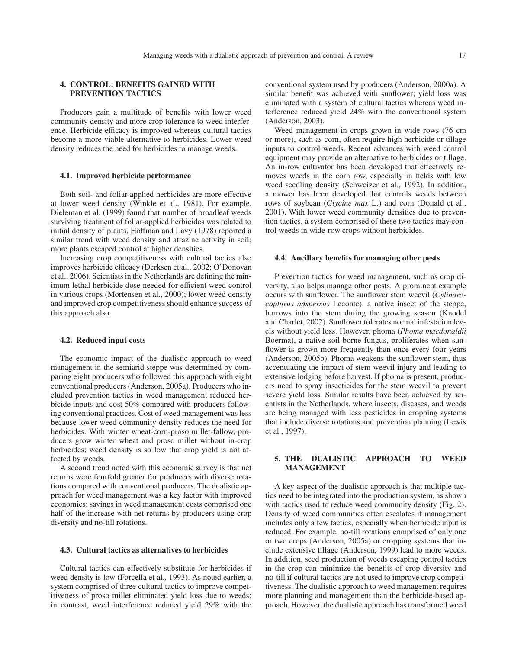## **4. CONTROL: BENEFITS GAINED WITH PREVENTION TACTICS**

Producers gain a multitude of benefits with lower weed community density and more crop tolerance to weed interference. Herbicide efficacy is improved whereas cultural tactics become a more viable alternative to herbicides. Lower weed density reduces the need for herbicides to manage weeds.

## **4.1. Improved herbicide performance**

Both soil- and foliar-applied herbicides are more effective at lower weed density (Winkle et al., 1981). For example, Dieleman et al. (1999) found that number of broadleaf weeds surviving treatment of foliar-applied herbicides was related to initial density of plants. Hoffman and Lavy (1978) reported a similar trend with weed density and atrazine activity in soil; more plants escaped control at higher densities.

Increasing crop competitiveness with cultural tactics also improves herbicide efficacy (Derksen et al., 2002; O'Donovan et al., 2006). Scientists in the Netherlands are defining the minimum lethal herbicide dose needed for efficient weed control in various crops (Mortensen et al., 2000); lower weed density and improved crop competitiveness should enhance success of this approach also.

#### **4.2. Reduced input costs**

The economic impact of the dualistic approach to weed management in the semiarid steppe was determined by comparing eight producers who followed this approach with eight conventional producers (Anderson, 2005a). Producers who included prevention tactics in weed management reduced herbicide inputs and cost 50% compared with producers following conventional practices. Cost of weed management was less because lower weed community density reduces the need for herbicides. With winter wheat-corn-proso millet-fallow, producers grow winter wheat and proso millet without in-crop herbicides; weed density is so low that crop yield is not affected by weeds.

A second trend noted with this economic survey is that net returns were fourfold greater for producers with diverse rotations compared with conventional producers. The dualistic approach for weed management was a key factor with improved economics; savings in weed management costs comprised one half of the increase with net returns by producers using crop diversity and no-till rotations.

### **4.3. Cultural tactics as alternatives to herbicides**

Cultural tactics can effectively substitute for herbicides if weed density is low (Forcella et al., 1993). As noted earlier, a system comprised of three cultural tactics to improve competitiveness of proso millet eliminated yield loss due to weeds; in contrast, weed interference reduced yield 29% with the

conventional system used by producers (Anderson, 2000a). A similar benefit was achieved with sunflower; yield loss was eliminated with a system of cultural tactics whereas weed interference reduced yield 24% with the conventional system (Anderson, 2003).

Weed management in crops grown in wide rows (76 cm or more), such as corn, often require high herbicide or tillage inputs to control weeds. Recent advances with weed control equipment may provide an alternative to herbicides or tillage. An in-row cultivator has been developed that effectively removes weeds in the corn row, especially in fields with low weed seedling density (Schweizer et al., 1992). In addition, a mower has been developed that controls weeds between rows of soybean (*Glycine max* L.) and corn (Donald et al., 2001). With lower weed community densities due to prevention tactics, a system comprised of these two tactics may control weeds in wide-row crops without herbicides.

#### **4.4. Ancillary benefits for managing other pests**

Prevention tactics for weed management, such as crop diversity, also helps manage other pests. A prominent example occurs with sunflower. The sunflower stem weevil (*Cylindrocopturus adspersus* Leconte), a native insect of the steppe, burrows into the stem during the growing season (Knodel and Charlet, 2002). Sunflower tolerates normal infestation levels without yield loss. However, phoma (*Phoma macdonaldii* Boerma), a native soil-borne fungus, proliferates when sunflower is grown more frequently than once every four years (Anderson, 2005b). Phoma weakens the sunflower stem, thus accentuating the impact of stem weevil injury and leading to extensive lodging before harvest. If phoma is present, producers need to spray insecticides for the stem weevil to prevent severe yield loss. Similar results have been achieved by scientists in the Netherlands, where insects, diseases, and weeds are being managed with less pesticides in cropping systems that include diverse rotations and prevention planning (Lewis et al., 1997).

## **5. THE DUALISTIC APPROACH TO WEED MANAGEMENT**

A key aspect of the dualistic approach is that multiple tactics need to be integrated into the production system, as shown with tactics used to reduce weed community density (Fig. 2). Density of weed communities often escalates if management includes only a few tactics, especially when herbicide input is reduced. For example, no-till rotations comprised of only one or two crops (Anderson, 2005a) or cropping systems that include extensive tillage (Anderson, 1999) lead to more weeds. In addition, seed production of weeds escaping control tactics in the crop can minimize the benefits of crop diversity and no-till if cultural tactics are not used to improve crop competitiveness. The dualistic approach to weed management requires more planning and management than the herbicide-based approach. However, the dualistic approach has transformed weed